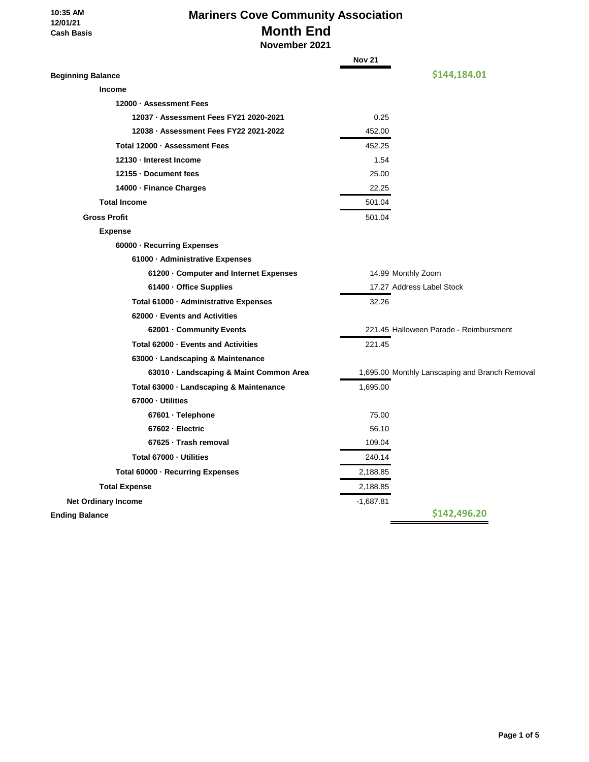**10:35 AM 12/01/21 Cash Basis**

# **Mariners Cove Community Association Month End**

 **November 2021**

|                                         | <b>Nov 21</b> |                                                |  |  |
|-----------------------------------------|---------------|------------------------------------------------|--|--|
| <b>Beginning Balance</b>                |               | \$144,184.01                                   |  |  |
| <b>Income</b>                           |               |                                                |  |  |
| 12000 · Assessment Fees                 |               |                                                |  |  |
| 12037 · Assessment Fees FY21 2020-2021  | 0.25          |                                                |  |  |
| 12038 · Assessment Fees FY22 2021-2022  | 452.00        |                                                |  |  |
| Total 12000 · Assessment Fees           | 452.25        |                                                |  |  |
| 12130 - Interest Income                 | 1.54          |                                                |  |  |
| 12155 - Document fees                   | 25.00         |                                                |  |  |
| 14000 - Finance Charges                 | 22.25         |                                                |  |  |
| <b>Total Income</b>                     | 501.04        |                                                |  |  |
| <b>Gross Profit</b>                     | 501.04        |                                                |  |  |
| <b>Expense</b>                          |               |                                                |  |  |
| 60000 · Recurring Expenses              |               |                                                |  |  |
| 61000 · Administrative Expenses         |               |                                                |  |  |
| 61200 · Computer and Internet Expenses  |               | 14.99 Monthly Zoom                             |  |  |
| 61400 · Office Supplies                 |               | 17.27 Address Label Stock                      |  |  |
| Total 61000 · Administrative Expenses   | 32.26         |                                                |  |  |
| 62000 - Events and Activities           |               |                                                |  |  |
| 62001 - Community Events                |               | 221.45 Halloween Parade - Reimbursment         |  |  |
| Total 62000 - Events and Activities     | 221.45        |                                                |  |  |
| 63000 · Landscaping & Maintenance       |               |                                                |  |  |
| 63010 · Landscaping & Maint Common Area |               | 1,695.00 Monthly Lanscaping and Branch Removal |  |  |
| Total 63000 · Landscaping & Maintenance | 1,695.00      |                                                |  |  |
| 67000 - Utilities                       |               |                                                |  |  |
| 67601 · Telephone                       | 75.00         |                                                |  |  |
| 67602 - Electric                        | 56.10         |                                                |  |  |
| 67625 · Trash removal                   | 109.04        |                                                |  |  |
| Total 67000 - Utilities                 | 240.14        |                                                |  |  |
| Total 60000 · Recurring Expenses        | 2,188.85      |                                                |  |  |
| <b>Total Expense</b>                    | 2,188.85      |                                                |  |  |
| <b>Net Ordinary Income</b>              | $-1,687.81$   |                                                |  |  |
| <b>Ending Balance</b>                   |               | \$142,496.20                                   |  |  |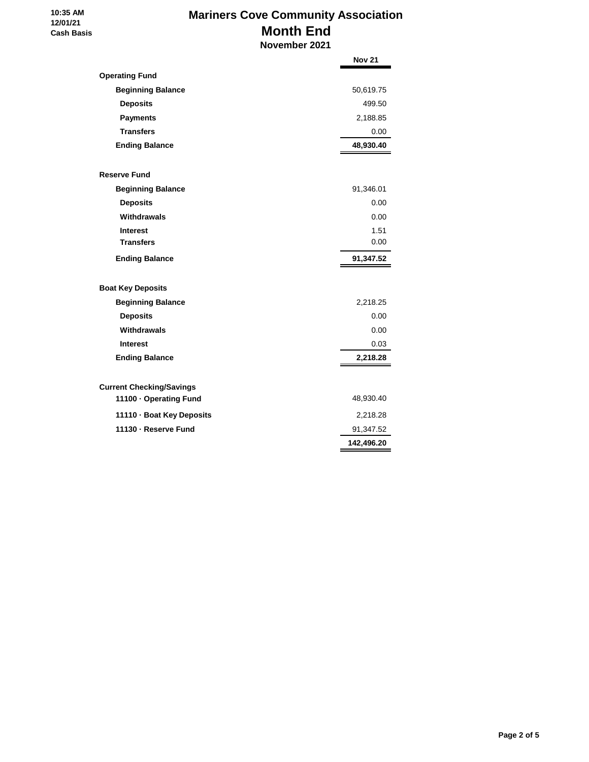### **10:35 AM 12/01/21 Cash Basis**

# **Mariners Cove Community Association Month End**

 **November 2021**

|                                 | <b>Nov 21</b> |
|---------------------------------|---------------|
| <b>Operating Fund</b>           |               |
| <b>Beginning Balance</b>        | 50,619.75     |
| <b>Deposits</b>                 | 499.50        |
| <b>Payments</b>                 | 2,188.85      |
| <b>Transfers</b>                | 0.00          |
| <b>Ending Balance</b>           | 48,930.40     |
| <b>Reserve Fund</b>             |               |
| <b>Beginning Balance</b>        | 91,346.01     |
| <b>Deposits</b>                 | 0.00          |
| Withdrawals                     | 0.00          |
| <b>Interest</b>                 | 1.51          |
| <b>Transfers</b>                | 0.00          |
| <b>Ending Balance</b>           | 91,347.52     |
| <b>Boat Key Deposits</b>        |               |
| <b>Beginning Balance</b>        | 2,218.25      |
| <b>Deposits</b>                 | 0.00          |
| Withdrawals                     | 0.00          |
| <b>Interest</b>                 | 0.03          |
| <b>Ending Balance</b>           | 2,218.28      |
| <b>Current Checking/Savings</b> |               |
| 11100 · Operating Fund          | 48,930.40     |
| 11110 · Boat Key Deposits       | 2,218.28      |
| 11130 - Reserve Fund            | 91,347.52     |
|                                 | 142,496.20    |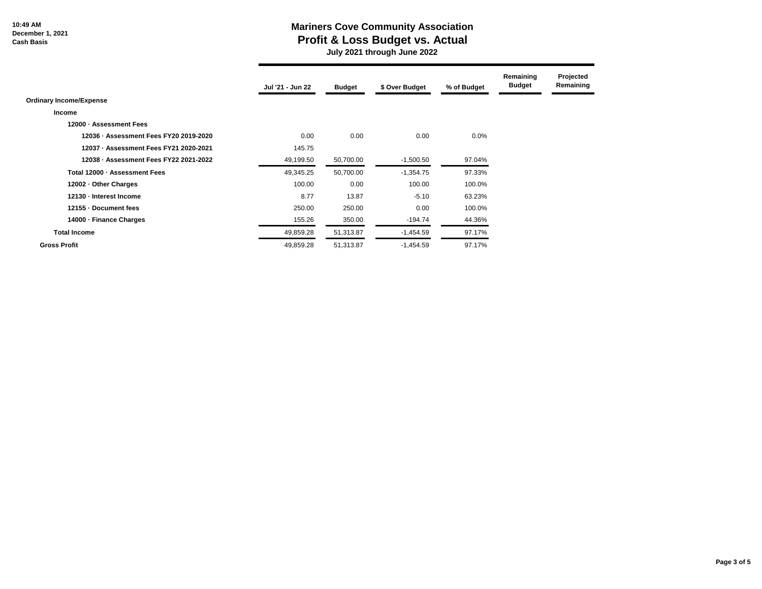#### **10:49 AM December 1, 2021 Cash Basis**

### **Mariners Cove Community Association Profit & Loss Budget vs. Actual**

 **July 2021 through June 2022**

|                                        | Jul '21 - Jun 22 | <b>Budget</b> | \$ Over Budget | % of Budget | Remaining<br><b>Budget</b> | Projected<br>Remaining |
|----------------------------------------|------------------|---------------|----------------|-------------|----------------------------|------------------------|
| <b>Ordinary Income/Expense</b>         |                  |               |                |             |                            |                        |
| <b>Income</b>                          |                  |               |                |             |                            |                        |
| 12000 - Assessment Fees                |                  |               |                |             |                            |                        |
| 12036 - Assessment Fees FY20 2019-2020 | 0.00             | 0.00          | 0.00           | $0.0\%$     |                            |                        |
| 12037 - Assessment Fees FY21 2020-2021 | 145.75           |               |                |             |                            |                        |
| 12038 - Assessment Fees FY22 2021-2022 | 49,199.50        | 50,700.00     | $-1,500.50$    | 97.04%      |                            |                        |
| Total 12000 - Assessment Fees          | 49,345.25        | 50,700.00     | $-1,354.75$    | 97.33%      |                            |                        |
| 12002 - Other Charges                  | 100.00           | 0.00          | 100.00         | 100.0%      |                            |                        |
| 12130 - Interest Income                | 8.77             | 13.87         | $-5.10$        | 63.23%      |                            |                        |
| 12155 - Document fees                  | 250.00           | 250.00        | 0.00           | 100.0%      |                            |                        |
| 14000 - Finance Charges                | 155.26           | 350.00        | $-194.74$      | 44.36%      |                            |                        |
| <b>Total Income</b>                    | 49,859.28        | 51,313.87     | $-1,454.59$    | 97.17%      |                            |                        |
| <b>Gross Profit</b>                    | 49,859.28        | 51,313.87     | $-1,454.59$    | 97.17%      |                            |                        |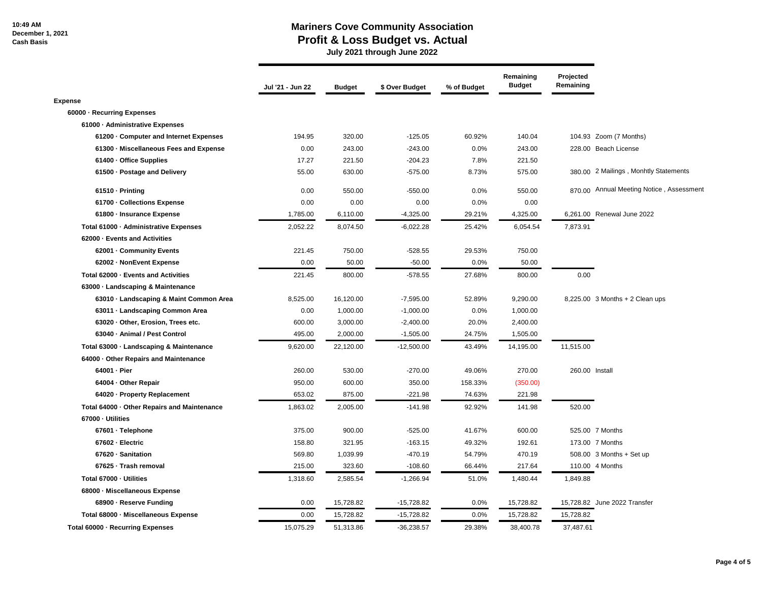### **Mariners Cove Community Association Profit & Loss Budget vs. Actual**

 **July 2021 through June 2022**

|                                             | Jul '21 - Jun 22 | <b>Budget</b> | \$ Over Budget | % of Budget | Remaining<br><b>Budget</b> | Projected<br>Remaining |                                          |
|---------------------------------------------|------------------|---------------|----------------|-------------|----------------------------|------------------------|------------------------------------------|
| <b>Expense</b>                              |                  |               |                |             |                            |                        |                                          |
| 60000 - Recurring Expenses                  |                  |               |                |             |                            |                        |                                          |
| 61000 - Administrative Expenses             |                  |               |                |             |                            |                        |                                          |
| 61200 · Computer and Internet Expenses      | 194.95           | 320.00        | $-125.05$      | 60.92%      | 140.04                     |                        | 104.93 Zoom (7 Months)                   |
| 61300 Miscellaneous Fees and Expense        | 0.00             | 243.00        | $-243.00$      | 0.0%        | 243.00                     |                        | 228.00 Beach License                     |
| 61400 - Office Supplies                     | 17.27            | 221.50        | $-204.23$      | 7.8%        | 221.50                     |                        |                                          |
| 61500 · Postage and Delivery                | 55.00            | 630.00        | $-575.00$      | 8.73%       | 575.00                     |                        | 380.00 2 Mailings, Monhtly Statements    |
| 61510 - Printing                            | 0.00             | 550.00        | $-550.00$      | 0.0%        | 550.00                     |                        | 870.00 Annual Meeting Notice, Assessment |
| 61700 - Collections Expense                 | 0.00             | 0.00          | 0.00           | 0.0%        | 0.00                       |                        |                                          |
| 61800 · Insurance Expense                   | 1,785.00         | 6,110.00      | $-4,325.00$    | 29.21%      | 4,325.00                   |                        | 6,261.00 Renewal June 2022               |
| Total 61000 - Administrative Expenses       | 2,052.22         | 8,074.50      | $-6,022.28$    | 25.42%      | 6,054.54                   | 7,873.91               |                                          |
| 62000 - Events and Activities               |                  |               |                |             |                            |                        |                                          |
| 62001 - Community Events                    | 221.45           | 750.00        | $-528.55$      | 29.53%      | 750.00                     |                        |                                          |
| 62002 - NonEvent Expense                    | 0.00             | 50.00         | $-50.00$       | 0.0%        | 50.00                      |                        |                                          |
| Total 62000 - Events and Activities         | 221.45           | 800.00        | $-578.55$      | 27.68%      | 800.00                     | 0.00                   |                                          |
| 63000 - Landscaping & Maintenance           |                  |               |                |             |                            |                        |                                          |
| 63010 - Landscaping & Maint Common Area     | 8,525.00         | 16,120.00     | $-7,595.00$    | 52.89%      | 9,290.00                   |                        | 8,225.00 3 Months + 2 Clean ups          |
| 63011 - Landscaping Common Area             | 0.00             | 1,000.00      | $-1,000.00$    | 0.0%        | 1,000.00                   |                        |                                          |
| 63020 - Other, Erosion, Trees etc.          | 600.00           | 3,000.00      | $-2,400.00$    | 20.0%       | 2,400.00                   |                        |                                          |
| 63040 - Animal / Pest Control               | 495.00           | 2,000.00      | $-1,505.00$    | 24.75%      | 1,505.00                   |                        |                                          |
| Total 63000 - Landscaping & Maintenance     | 9,620.00         | 22,120.00     | $-12,500.00$   | 43.49%      | 14,195.00                  | 11,515.00              |                                          |
| 64000 Other Repairs and Maintenance         |                  |               |                |             |                            |                        |                                          |
| 64001 · Pier                                | 260.00           | 530.00        | $-270.00$      | 49.06%      | 270.00                     |                        | 260.00 Install                           |
| 64004 - Other Repair                        | 950.00           | 600.00        | 350.00         | 158.33%     | (350.00)                   |                        |                                          |
| 64020 · Property Replacement                | 653.02           | 875.00        | $-221.98$      | 74.63%      | 221.98                     |                        |                                          |
| Total 64000 - Other Repairs and Maintenance | 1,863.02         | 2,005.00      | $-141.98$      | 92.92%      | 141.98                     | 520.00                 |                                          |
| 67000 · Utilities                           |                  |               |                |             |                            |                        |                                          |
| 67601 · Telephone                           | 375.00           | 900.00        | $-525.00$      | 41.67%      | 600.00                     |                        | 525.00 7 Months                          |
| 67602 - Electric                            | 158.80           | 321.95        | $-163.15$      | 49.32%      | 192.61                     |                        | 173.00 7 Months                          |
| 67620 · Sanitation                          | 569.80           | 1,039.99      | $-470.19$      | 54.79%      | 470.19                     |                        | $508.00$ 3 Months + Set up               |
| 67625 · Trash removal                       | 215.00           | 323.60        | $-108.60$      | 66.44%      | 217.64                     |                        | 110.00 4 Months                          |
| Total 67000 - Utilities                     | 1,318.60         | 2,585.54      | $-1,266.94$    | 51.0%       | 1,480.44                   | 1,849.88               |                                          |
| 68000 - Miscellaneous Expense               |                  |               |                |             |                            |                        |                                          |
| 68900 · Reserve Funding                     | 0.00             | 15,728.82     | $-15,728.82$   | 0.0%        | 15,728.82                  |                        | 15,728.82 June 2022 Transfer             |
| Total 68000 - Miscellaneous Expense         | 0.00             | 15,728.82     | $-15,728.82$   | 0.0%        | 15,728.82                  | 15,728.82              |                                          |
| Total 60000 - Recurring Expenses            | 15,075.29        | 51,313.86     | $-36,238.57$   | 29.38%      | 38,400.78                  | 37,487.61              |                                          |